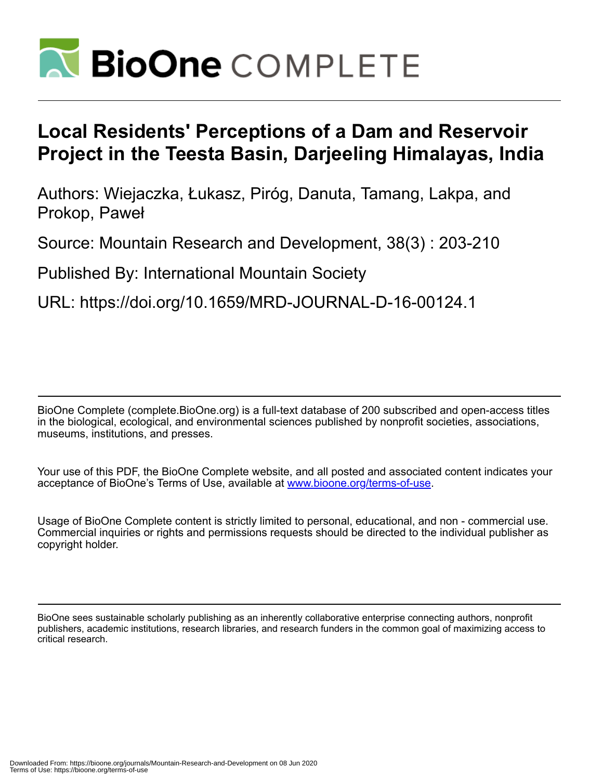

# **Local Residents' Perceptions of a Dam and Reservoir Project in the Teesta Basin, Darjeeling Himalayas, India**

Authors: Wiejaczka, Łukasz, Piróg, Danuta, Tamang, Lakpa, and Prokop, Paweł

Source: Mountain Research and Development, 38(3) : 203-210

Published By: International Mountain Society

URL: https://doi.org/10.1659/MRD-JOURNAL-D-16-00124.1

BioOne Complete (complete.BioOne.org) is a full-text database of 200 subscribed and open-access titles in the biological, ecological, and environmental sciences published by nonprofit societies, associations, museums, institutions, and presses.

Your use of this PDF, the BioOne Complete website, and all posted and associated content indicates your acceptance of BioOne's Terms of Use, available at www.bioone.org/terms-of-use.

Usage of BioOne Complete content is strictly limited to personal, educational, and non - commercial use. Commercial inquiries or rights and permissions requests should be directed to the individual publisher as copyright holder.

BioOne sees sustainable scholarly publishing as an inherently collaborative enterprise connecting authors, nonprofit publishers, academic institutions, research libraries, and research funders in the common goal of maximizing access to critical research.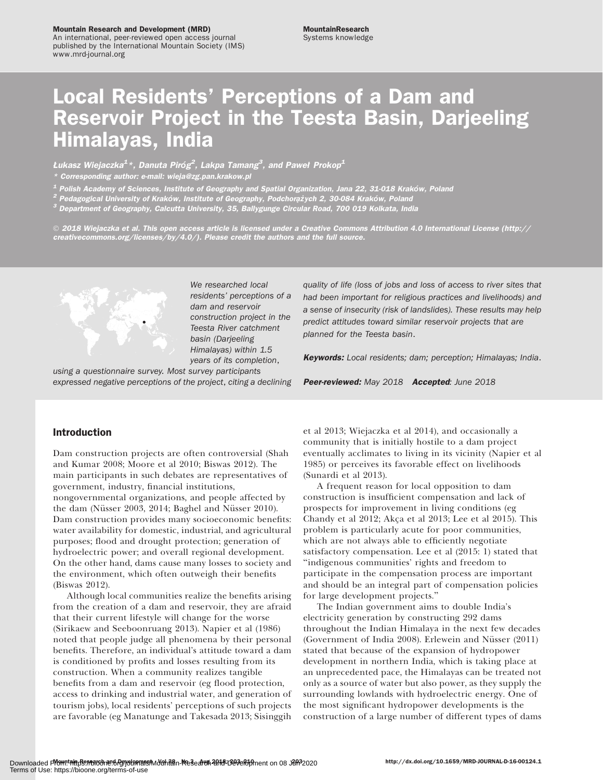#### Mountain Research and Development (MRD)

An international, peer-reviewed open access journal published by the International Mountain Society (IMS) www.mrd-journal.org

# Local Residents' Perceptions of a Dam and Reservoir Project in the Teesta Basin, Darjeeling Himalayas, India

Łukasz Wiejaczka $^{4\,\star}$ , Danuta Piróg $^2$ , Lakpa Tamang $^3$ , and Paweł Prokop $^4$ 

- \* Corresponding author: e-mail: [wieja@zg.pan.krakow.pl](mailto:wieja@zg.pan.krakow.pl)
- $^{\text{\tiny{\textup{1}}}}$  Polish Academy of Sciences, Institute of Geography and Spatial Organization, Jana 22, 31-018 Kraków, Poland
- <sup>2</sup> Pedagogical University of Kraków, Institute of Geography, Podchorążych 2, 30-084 Kraków, Poland<br><sup>3</sup> Department of Geography, Calcutta University, 35, Ballygunge Circular Road, 700 019 Kolkata, India
- 

© 2018 Wiejaczka et al. This open access article is licensed under a Creative Commons Attribution 4.0 International License [\(http://](http://creativecommons.org/licenses/by/4.0/) [creativecommons.org/licenses/by/4.0/](http://creativecommons.org/licenses/by/4.0/)). Please credit the authors and the full source.



We researched local residents' perceptions of a dam and reservoir construction project in the Teesta River catchment basin (Darjeeling Himalayas) within 1.5 years of its completion,

using a questionnaire survey. Most survey participants expressed negative perceptions of the project, citing a declining

quality of life (loss of jobs and loss of access to river sites that had been important for religious practices and livelihoods) and a sense of insecurity (risk of landslides). These results may help predict attitudes toward similar reservoir projects that are planned for the Teesta basin.

Keywords: Local residents; dam; perception; Himalayas; India.

Peer-reviewed: May 2018 Accepted: June 2018

## Introduction

Dam construction projects are often controversial (Shah and Kumar 2008; Moore et al 2010; Biswas 2012). The main participants in such debates are representatives of government, industry, financial institutions, nongovernmental organizations, and people affected by the dam (Nüsser 2003, 2014; Baghel and Nüsser 2010). Dam construction provides many socioeconomic benefits: water availability for domestic, industrial, and agricultural purposes; flood and drought protection; generation of hydroelectric power; and overall regional development. On the other hand, dams cause many losses to society and the environment, which often outweigh their benefits (Biswas 2012).

Although local communities realize the benefits arising from the creation of a dam and reservoir, they are afraid that their current lifestyle will change for the worse (Sirikaew and Seeboonruang 2013). Napier et al (1986) noted that people judge all phenomena by their personal benefits. Therefore, an individual's attitude toward a dam is conditioned by profits and losses resulting from its construction. When a community realizes tangible benefits from a dam and reservoir (eg flood protection, access to drinking and industrial water, and generation of tourism jobs), local residents' perceptions of such projects are favorable (eg Manatunge and Takesada 2013; Sisinggih

et al 2013; Wiejaczka et al 2014), and occasionally a community that is initially hostile to a dam project eventually acclimates to living in its vicinity (Napier et al 1985) or perceives its favorable effect on livelihoods (Sunardi et al 2013).

A frequent reason for local opposition to dam construction is insufficient compensation and lack of prospects for improvement in living conditions (eg Chandy et al 2012; Akça et al 2013; Lee et al 2015). This problem is particularly acute for poor communities, which are not always able to efficiently negotiate satisfactory compensation. Lee et al (2015: 1) stated that ''indigenous communities' rights and freedom to participate in the compensation process are important and should be an integral part of compensation policies for large development projects.''

The Indian government aims to double India's electricity generation by constructing 292 dams throughout the Indian Himalaya in the next few decades (Government of India 2008). Erlewein and Nüsser (2011) stated that because of the expansion of hydropower development in northern India, which is taking place at an unprecedented pace, the Himalayas can be treated not only as a source of water but also power, as they supply the surrounding lowlands with hydroelectric energy. One of the most significant hydropower developments is the construction of a large number of different types of dams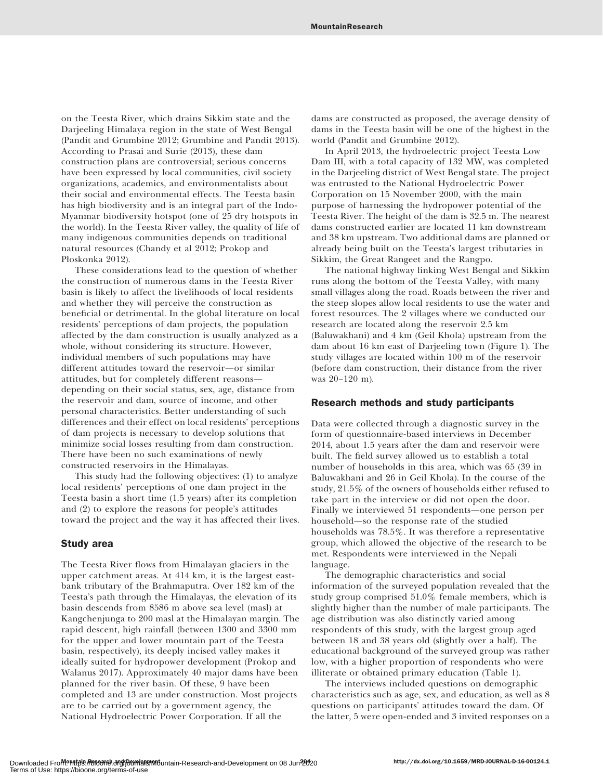on the Teesta River, which drains Sikkim state and the Darjeeling Himalaya region in the state of West Bengal (Pandit and Grumbine 2012; Grumbine and Pandit 2013). According to Prasai and Surie (2013), these dam construction plans are controversial; serious concerns have been expressed by local communities, civil society organizations, academics, and environmentalists about their social and environmental effects. The Teesta basin has high biodiversity and is an integral part of the Indo-Myanmar biodiversity hotspot (one of 25 dry hotspots in the world). In the Teesta River valley, the quality of life of many indigenous communities depends on traditional natural resources (Chandy et al 2012; Prokop and Płoskonka 2012).

These considerations lead to the question of whether the construction of numerous dams in the Teesta River basin is likely to affect the livelihoods of local residents and whether they will perceive the construction as beneficial or detrimental. In the global literature on local residents' perceptions of dam projects, the population affected by the dam construction is usually analyzed as a whole, without considering its structure. However, individual members of such populations may have different attitudes toward the reservoir—or similar attitudes, but for completely different reasons depending on their social status, sex, age, distance from the reservoir and dam, source of income, and other personal characteristics. Better understanding of such differences and their effect on local residents' perceptions of dam projects is necessary to develop solutions that minimize social losses resulting from dam construction. There have been no such examinations of newly constructed reservoirs in the Himalayas.

This study had the following objectives: (1) to analyze local residents' perceptions of one dam project in the Teesta basin a short time (1.5 years) after its completion and (2) to explore the reasons for people's attitudes toward the project and the way it has affected their lives.

#### Study area

The Teesta River flows from Himalayan glaciers in the upper catchment areas. At 414 km, it is the largest eastbank tributary of the Brahmaputra. Over 182 km of the Teesta's path through the Himalayas, the elevation of its basin descends from 8586 m above sea level (masl) at Kangchenjunga to 200 masl at the Himalayan margin. The rapid descent, high rainfall (between 1300 and 3300 mm for the upper and lower mountain part of the Teesta basin, respectively), its deeply incised valley makes it ideally suited for hydropower development (Prokop and Walanus 2017). Approximately 40 major dams have been planned for the river basin. Of these, 9 have been completed and 13 are under construction. Most projects are to be carried out by a government agency, the National Hydroelectric Power Corporation. If all the

dams are constructed as proposed, the average density of dams in the Teesta basin will be one of the highest in the world (Pandit and Grumbine 2012).

In April 2013, the hydroelectric project Teesta Low Dam III, with a total capacity of 132 MW, was completed in the Darjeeling district of West Bengal state. The project was entrusted to the National Hydroelectric Power Corporation on 15 November 2000, with the main purpose of harnessing the hydropower potential of the Teesta River. The height of the dam is 32.5 m. The nearest dams constructed earlier are located 11 km downstream and 38 km upstream. Two additional dams are planned or already being built on the Teesta's largest tributaries in Sikkim, the Great Rangeet and the Rangpo.

The national highway linking West Bengal and Sikkim runs along the bottom of the Teesta Valley, with many small villages along the road. Roads between the river and the steep slopes allow local residents to use the water and forest resources. The 2 villages where we conducted our research are located along the reservoir 2.5 km (Baluwakhani) and 4 km (Geil Khola) upstream from the dam about 16 km east of Darjeeling town (Figure 1). The study villages are located within 100 m of the reservoir (before dam construction, their distance from the river was 20–120 m).

#### Research methods and study participants

Data were collected through a diagnostic survey in the form of questionnaire-based interviews in December 2014, about 1.5 years after the dam and reservoir were built. The field survey allowed us to establish a total number of households in this area, which was 65 (39 in Baluwakhani and 26 in Geil Khola). In the course of the study, 21.5% of the owners of households either refused to take part in the interview or did not open the door. Finally we interviewed 51 respondents—one person per household—so the response rate of the studied households was 78.5%. It was therefore a representative group, which allowed the objective of the research to be met. Respondents were interviewed in the Nepali language.

The demographic characteristics and social information of the surveyed population revealed that the study group comprised 51.0% female members, which is slightly higher than the number of male participants. The age distribution was also distinctly varied among respondents of this study, with the largest group aged between 18 and 38 years old (slightly over a half). The educational background of the surveyed group was rather low, with a higher proportion of respondents who were illiterate or obtained primary education (Table 1).

The interviews included questions on demographic characteristics such as age, sex, and education, as well as 8 questions on participants' attitudes toward the dam. Of the latter, 5 were open-ended and 3 invited responses on a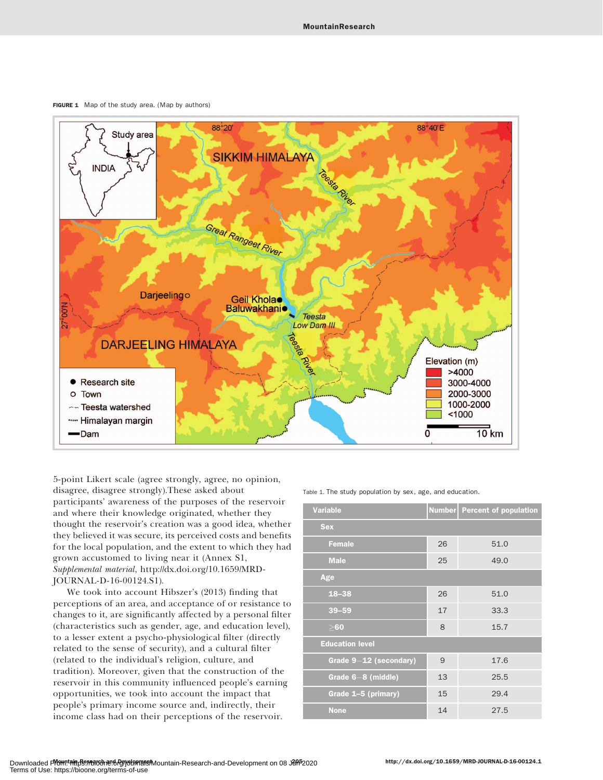FIGURE 1 Map of the study area. (Map by authors)



5-point Likert scale (agree strongly, agree, no opinion, disagree, disagree strongly).These asked about participants' awareness of the purposes of the reservoir and where their knowledge originated, whether they thought the reservoir's creation was a good idea, whether they believed it was secure, its perceived costs and benefits for the local population, and the extent to which they had grown accustomed to living near it (Annex S1, Supplemental material, [http://dx.doi.org/10.1659/MRD-](http://dx.doi.org/10.1659/MRD-JOURNAL-D-16-00124.S1)[JOURNAL-D-16-00124.S1](http://dx.doi.org/10.1659/MRD-JOURNAL-D-16-00124.S1)).

We took into account Hibszer's (2013) finding that perceptions of an area, and acceptance of or resistance to changes to it, are significantly affected by a personal filter (characteristics such as gender, age, and education level), to a lesser extent a psycho-physiological filter (directly related to the sense of security), and a cultural filter (related to the individual's religion, culture, and tradition). Moreover, given that the construction of the reservoir in this community influenced people's earning opportunities, we took into account the impact that people's primary income source and, indirectly, their income class had on their perceptions of the reservoir.

Table 1. The study population by sex, age, and education.

| <b>Variable</b>        |    | Number Percent of population |
|------------------------|----|------------------------------|
| <b>Sex</b>             |    |                              |
| <b>Female</b>          | 26 | 51.0                         |
| <b>Male</b>            | 25 | 49.0                         |
| Age                    |    |                              |
| $18 - 38$              | 26 | 51.0                         |
| $39 - 59$              | 17 | 33.3                         |
| >60                    | 8  | 15.7                         |
| <b>Education level</b> |    |                              |
| Grade 9-12 (secondary) | 9  | 17.6                         |
| Grade $6-8$ (middle)   | 13 | 25.5                         |
| Grade 1-5 (primary)    | 15 | 29.4                         |
| <b>None</b>            | 14 | 27.5                         |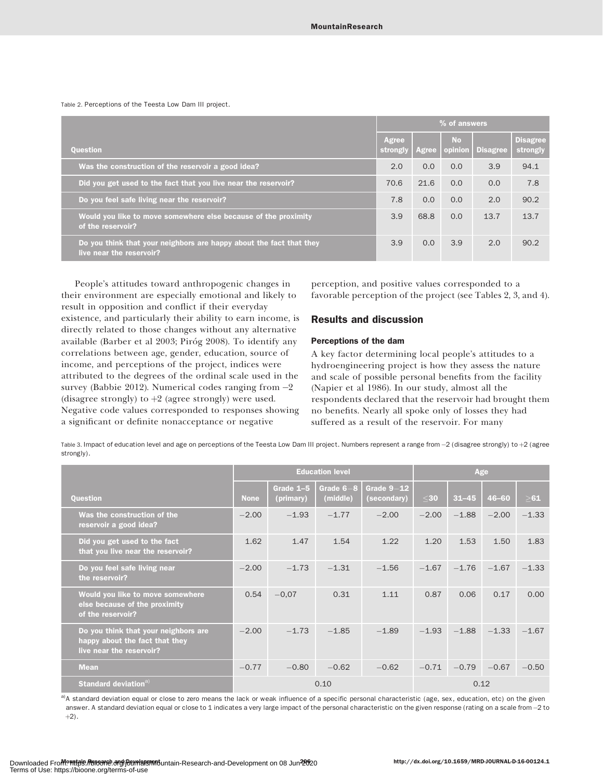Table 2. Perceptions of the Teesta Low Dam III project.

|                                                                                                 | % of answers              |      |                      |                 |                             |  |
|-------------------------------------------------------------------------------------------------|---------------------------|------|----------------------|-----------------|-----------------------------|--|
| <b>Question</b>                                                                                 | Agree<br>strongly   Agree |      | <b>No</b><br>opinion | <b>Disagree</b> | <b>Disagree</b><br>strongly |  |
| Was the construction of the reservoir a good idea?                                              | 2.0                       | 0.0  | 0.0                  | 3.9             | 94.1                        |  |
| Did you get used to the fact that you live near the reservoir?                                  | 70.6                      | 21.6 | 0.0                  | 0.0             | 7.8                         |  |
| Do you feel safe living near the reservoir?                                                     | 7.8                       | 0.0  | 0.0                  | 2.0             | 90.2                        |  |
| Would you like to move somewhere else because of the proximity<br>of the reservoir?             | 3.9                       | 68.8 | 0.0                  | 13.7            | 13.7                        |  |
| Do you think that your neighbors are happy about the fact that they<br>live near the reservoir? | 3.9                       | 0.0  | 3.9                  | 2.0             | 90.2                        |  |

People's attitudes toward anthropogenic changes in their environment are especially emotional and likely to result in opposition and conflict if their everyday existence, and particularly their ability to earn income, is directly related to those changes without any alternative available (Barber et al 2003; Piróg 2008). To identify any correlations between age, gender, education, source of income, and perceptions of the project, indices were attributed to the degrees of the ordinal scale used in the survey (Babbie 2012). Numerical codes ranging from  $-2$ (disagree strongly) to  $+2$  (agree strongly) were used. Negative code values corresponded to responses showing a significant or definite nonacceptance or negative

perception, and positive values corresponded to a favorable perception of the project (see Tables 2, 3, and 4).

# Results and discussion

## Perceptions of the dam

A key factor determining local people's attitudes to a hydroengineering project is how they assess the nature and scale of possible personal benefits from the facility (Napier et al 1986). In our study, almost all the respondents declared that the reservoir had brought them no benefits. Nearly all spoke only of losses they had suffered as a result of the reservoir. For many

Table 3. Impact of education level and age on perceptions of the Teesta Low Dam III project. Numbers represent a range from -2 (disagree strongly) to +2 (agree strongly).

|                                                                                                    | <b>Education level</b> |                          |                           |                             |         | Age       |         |         |  |  |
|----------------------------------------------------------------------------------------------------|------------------------|--------------------------|---------------------------|-----------------------------|---------|-----------|---------|---------|--|--|
| <b>Question</b>                                                                                    | <b>None</b>            | Grade $1-5$<br>(primary) | Grade $6 - 8$<br>(middle) | Grade $9-12$<br>(secondary) | $30$    | $31 - 45$ | 46-60   | >61     |  |  |
| Was the construction of the<br>reservoir a good idea?                                              | $-2.00$                | $-1.93$                  | $-1.77$                   | $-2.00$                     | $-2.00$ | $-1.88$   | $-2.00$ | $-1.33$ |  |  |
| Did you get used to the fact<br>that you live near the reservoir?                                  | 1.62                   | 1.47                     | 1.54                      | 1.22                        | 1.20    | 1.53      | 1.50    | 1.83    |  |  |
| Do you feel safe living near<br>the reservoir?                                                     | $-2.00$                | $-1.73$                  | $-1.31$                   | $-1.56$                     | $-1.67$ | $-1.76$   | $-1.67$ | $-1.33$ |  |  |
| Would you like to move somewhere<br>else because of the proximity<br>of the reservoir?             | 0.54                   | $-0.07$                  | 0.31                      | 1.11                        | 0.87    | 0.06      | 0.17    | 0.00    |  |  |
| Do you think that your neighbors are<br>happy about the fact that they<br>live near the reservoir? | $-2.00$                | $-1.73$                  | $-1.85$                   | $-1.89$                     | $-1.93$ | $-1.88$   | $-1.33$ | $-1.67$ |  |  |
| <b>Mean</b>                                                                                        | $-0.77$                | $-0.80$                  | $-0.62$                   | $-0.62$                     | $-0.71$ | $-0.79$   | $-0.67$ | $-0.50$ |  |  |
| Standard deviation <sup>a)</sup>                                                                   | 0.10                   |                          |                           |                             | 0.12    |           |         |         |  |  |

a)A standard deviation equal or close to zero means the lack or weak influence of a specific personal characteristic (age, sex, education, etc) on the given answer. A standard deviation equal or close to 1 indicates a very large impact of the personal characteristic on the given response (rating on a scale from -2 to  $+2)$ .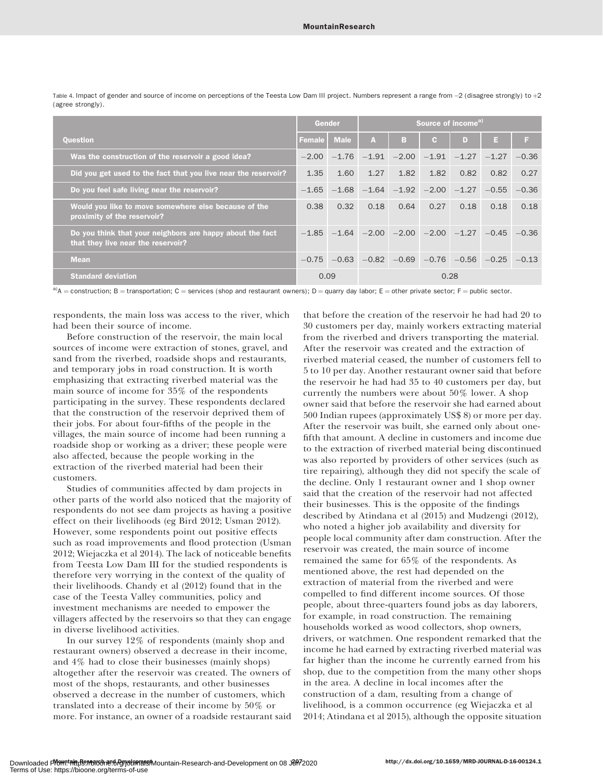|                                                                                                 |               | <b>Gender</b> | Source of income <sup>a)</sup> |      |      |      |                                                                 |         |
|-------------------------------------------------------------------------------------------------|---------------|---------------|--------------------------------|------|------|------|-----------------------------------------------------------------|---------|
| <b>Ouestion</b>                                                                                 | <b>Female</b> | <b>Male</b>   | $\mathbf{A}$                   | B    | c.   | D)   | E.                                                              | н       |
| Was the construction of the reservoir a good idea?                                              |               |               |                                |      |      |      | $-2.00$ $-1.76$ $-1.91$ $-2.00$ $-1.91$ $-1.27$ $-1.27$         | $-0.36$ |
| Did you get used to the fact that you live near the reservoir?                                  | 1.35          | 1.60          | 1.27                           | 1.82 | 1.82 | 0.82 | 0.82                                                            | 0.27    |
| Do you feel safe living near the reservoir?                                                     |               |               |                                |      |      |      | $-1.65$ $-1.68$ $-1.64$ $-1.92$ $-2.00$ $-1.27$ $-0.55$         | $-0.36$ |
| Would you like to move somewhere else because of the<br>proximity of the reservoir?             | 0.38          | 0.32          | 0.18                           | 0.64 | 0.27 | 0.18 | 0.18                                                            | 0.18    |
| Do you think that your neighbors are happy about the fact<br>that they live near the reservoir? |               |               |                                |      |      |      | $-1.85$ $-1.64$ $-2.00$ $-2.00$ $-2.00$ $-1.27$ $-0.45$         | $-0.36$ |
| <b>Mean</b>                                                                                     |               |               |                                |      |      |      | $-0.75$ $-0.63$ $-0.82$ $-0.69$ $-0.76$ $-0.56$ $-0.25$ $-0.13$ |         |
| <b>Standard deviation</b>                                                                       | 0.09          |               | 0.28                           |      |      |      |                                                                 |         |

Table 4. Impact of gender and source of income on perceptions of the Teesta Low Dam III project. Numbers represent a range from  $-2$  (disagree strongly) to  $+2$ (agree strongly).

 $a^a$ A = construction; B = transportation; C = services (shop and restaurant owners); D = quarry day labor; E = other private sector; F = public sector.

respondents, the main loss was access to the river, which had been their source of income.

Before construction of the reservoir, the main local sources of income were extraction of stones, gravel, and sand from the riverbed, roadside shops and restaurants, and temporary jobs in road construction. It is worth emphasizing that extracting riverbed material was the main source of income for 35% of the respondents participating in the survey. These respondents declared that the construction of the reservoir deprived them of their jobs. For about four-fifths of the people in the villages, the main source of income had been running a roadside shop or working as a driver; these people were also affected, because the people working in the extraction of the riverbed material had been their customers.

Studies of communities affected by dam projects in other parts of the world also noticed that the majority of respondents do not see dam projects as having a positive effect on their livelihoods (eg Bird 2012; Usman 2012). However, some respondents point out positive effects such as road improvements and flood protection (Usman 2012; Wiejaczka et al 2014). The lack of noticeable benefits from Teesta Low Dam III for the studied respondents is therefore very worrying in the context of the quality of their livelihoods. Chandy et al (2012) found that in the case of the Teesta Valley communities, policy and investment mechanisms are needed to empower the villagers affected by the reservoirs so that they can engage in diverse livelihood activities.

In our survey 12% of respondents (mainly shop and restaurant owners) observed a decrease in their income, and 4% had to close their businesses (mainly shops) altogether after the reservoir was created. The owners of most of the shops, restaurants, and other businesses observed a decrease in the number of customers, which translated into a decrease of their income by 50% or more. For instance, an owner of a roadside restaurant said

that before the creation of the reservoir he had had 20 to 30 customers per day, mainly workers extracting material from the riverbed and drivers transporting the material. After the reservoir was created and the extraction of riverbed material ceased, the number of customers fell to 5 to 10 per day. Another restaurant owner said that before the reservoir he had had 35 to 40 customers per day, but currently the numbers were about 50% lower. A shop owner said that before the reservoir she had earned about 500 Indian rupees (approximately US\$ 8) or more per day. After the reservoir was built, she earned only about onefifth that amount. A decline in customers and income due to the extraction of riverbed material being discontinued was also reported by providers of other services (such as tire repairing), although they did not specify the scale of the decline. Only 1 restaurant owner and 1 shop owner said that the creation of the reservoir had not affected their businesses. This is the opposite of the findings described by Atindana et al (2015) and Mudzengi (2012), who noted a higher job availability and diversity for people local community after dam construction. After the reservoir was created, the main source of income remained the same for 65% of the respondents. As mentioned above, the rest had depended on the extraction of material from the riverbed and were compelled to find different income sources. Of those people, about three-quarters found jobs as day laborers, for example, in road construction. The remaining households worked as wood collectors, shop owners, drivers, or watchmen. One respondent remarked that the income he had earned by extracting riverbed material was far higher than the income he currently earned from his shop, due to the competition from the many other shops in the area. A decline in local incomes after the construction of a dam, resulting from a change of livelihood, is a common occurrence (eg Wiejaczka et al 2014; Atindana et al 2015), although the opposite situation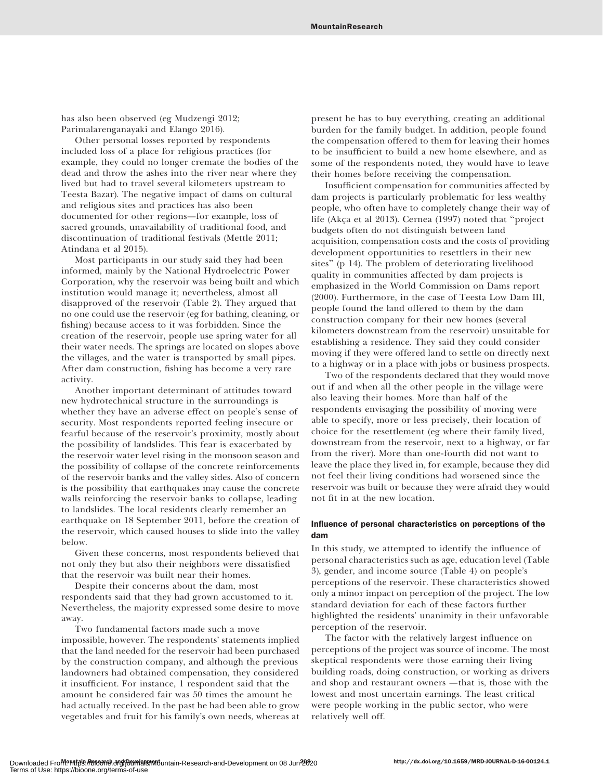has also been observed (eg Mudzengi 2012; Parimalarenganayaki and Elango 2016).

Other personal losses reported by respondents included loss of a place for religious practices (for example, they could no longer cremate the bodies of the dead and throw the ashes into the river near where they lived but had to travel several kilometers upstream to Teesta Bazar). The negative impact of dams on cultural and religious sites and practices has also been documented for other regions—for example, loss of sacred grounds, unavailability of traditional food, and discontinuation of traditional festivals (Mettle 2011; Atindana et al 2015).

Most participants in our study said they had been informed, mainly by the National Hydroelectric Power Corporation, why the reservoir was being built and which institution would manage it; nevertheless, almost all disapproved of the reservoir (Table 2). They argued that no one could use the reservoir (eg for bathing, cleaning, or fishing) because access to it was forbidden. Since the creation of the reservoir, people use spring water for all their water needs. The springs are located on slopes above the villages, and the water is transported by small pipes. After dam construction, fishing has become a very rare activity.

Another important determinant of attitudes toward new hydrotechnical structure in the surroundings is whether they have an adverse effect on people's sense of security. Most respondents reported feeling insecure or fearful because of the reservoir's proximity, mostly about the possibility of landslides. This fear is exacerbated by the reservoir water level rising in the monsoon season and the possibility of collapse of the concrete reinforcements of the reservoir banks and the valley sides. Also of concern is the possibility that earthquakes may cause the concrete walls reinforcing the reservoir banks to collapse, leading to landslides. The local residents clearly remember an earthquake on 18 September 2011, before the creation of the reservoir, which caused houses to slide into the valley below.

Given these concerns, most respondents believed that not only they but also their neighbors were dissatisfied that the reservoir was built near their homes.

Despite their concerns about the dam, most respondents said that they had grown accustomed to it. Nevertheless, the majority expressed some desire to move away.

Two fundamental factors made such a move impossible, however. The respondents' statements implied that the land needed for the reservoir had been purchased by the construction company, and although the previous landowners had obtained compensation, they considered it insufficient. For instance, 1 respondent said that the amount he considered fair was 50 times the amount he had actually received. In the past he had been able to grow vegetables and fruit for his family's own needs, whereas at

present he has to buy everything, creating an additional burden for the family budget. In addition, people found the compensation offered to them for leaving their homes to be insufficient to build a new home elsewhere, and as some of the respondents noted, they would have to leave their homes before receiving the compensation.

Insufficient compensation for communities affected by dam projects is particularly problematic for less wealthy people, who often have to completely change their way of life (Akça et al 2013). Cernea (1997) noted that "project budgets often do not distinguish between land acquisition, compensation costs and the costs of providing development opportunities to resettlers in their new sites'' (p 14). The problem of deteriorating livelihood quality in communities affected by dam projects is emphasized in the World Commission on Dams report (2000). Furthermore, in the case of Teesta Low Dam III, people found the land offered to them by the dam construction company for their new homes (several kilometers downstream from the reservoir) unsuitable for establishing a residence. They said they could consider moving if they were offered land to settle on directly next to a highway or in a place with jobs or business prospects.

Two of the respondents declared that they would move out if and when all the other people in the village were also leaving their homes. More than half of the respondents envisaging the possibility of moving were able to specify, more or less precisely, their location of choice for the resettlement (eg where their family lived, downstream from the reservoir, next to a highway, or far from the river). More than one-fourth did not want to leave the place they lived in, for example, because they did not feel their living conditions had worsened since the reservoir was built or because they were afraid they would not fit in at the new location.

### Influence of personal characteristics on perceptions of the dam

In this study, we attempted to identify the influence of personal characteristics such as age, education level (Table 3), gender, and income source (Table 4) on people's perceptions of the reservoir. These characteristics showed only a minor impact on perception of the project. The low standard deviation for each of these factors further highlighted the residents' unanimity in their unfavorable perception of the reservoir.

The factor with the relatively largest influence on perceptions of the project was source of income. The most skeptical respondents were those earning their living building roads, doing construction, or working as drivers and shop and restaurant owners —that is, those with the lowest and most uncertain earnings. The least critical were people working in the public sector, who were relatively well off.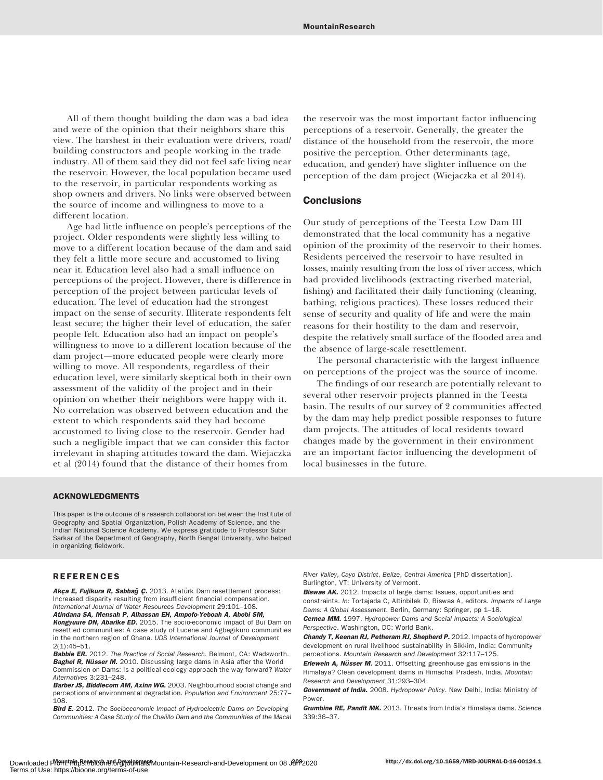All of them thought building the dam was a bad idea and were of the opinion that their neighbors share this view. The harshest in their evaluation were drivers, road/ building constructors and people working in the trade industry. All of them said they did not feel safe living near the reservoir. However, the local population became used to the reservoir, in particular respondents working as shop owners and drivers. No links were observed between the source of income and willingness to move to a different location.

Age had little influence on people's perceptions of the project. Older respondents were slightly less willing to move to a different location because of the dam and said they felt a little more secure and accustomed to living near it. Education level also had a small influence on perceptions of the project. However, there is difference in perception of the project between particular levels of education. The level of education had the strongest impact on the sense of security. Illiterate respondents felt least secure; the higher their level of education, the safer people felt. Education also had an impact on people's willingness to move to a different location because of the dam project—more educated people were clearly more willing to move. All respondents, regardless of their education level, were similarly skeptical both in their own assessment of the validity of the project and in their opinion on whether their neighbors were happy with it. No correlation was observed between education and the extent to which respondents said they had become accustomed to living close to the reservoir. Gender had such a negligible impact that we can consider this factor irrelevant in shaping attitudes toward the dam. Wiejaczka et al (2014) found that the distance of their homes from

the reservoir was the most important factor influencing perceptions of a reservoir. Generally, the greater the distance of the household from the reservoir, the more positive the perception. Other determinants (age, education, and gender) have slighter influence on the perception of the dam project (Wiejaczka et al 2014).

## **Conclusions**

Our study of perceptions of the Teesta Low Dam III demonstrated that the local community has a negative opinion of the proximity of the reservoir to their homes. Residents perceived the reservoir to have resulted in losses, mainly resulting from the loss of river access, which had provided livelihoods (extracting riverbed material, fishing) and facilitated their daily functioning (cleaning, bathing, religious practices). These losses reduced their sense of security and quality of life and were the main reasons for their hostility to the dam and reservoir, despite the relatively small surface of the flooded area and the absence of large-scale resettlement.

The personal characteristic with the largest influence on perceptions of the project was the source of income.

The findings of our research are potentially relevant to several other reservoir projects planned in the Teesta basin. The results of our survey of 2 communities affected by the dam may help predict possible responses to future dam projects. The attitudes of local residents toward changes made by the government in their environment are an important factor influencing the development of local businesses in the future.

#### ACKNOWLEDGMENTS

This paper is the outcome of a research collaboration between the Institute of Geography and Spatial Organization, Polish Academy of Science, and the Indian National Science Academy. We express gratitude to Professor Subir Sarkar of the Department of Geography, North Bengal University, who helped in organizing fieldwork.

#### REFERENCES

Akça E, Fujikura R, Sabbağ Ç. 2013. Atatürk Dam resettlement process: Increased disparity resulting from insufficient financial compensation. International Journal of Water Resources Development 29:101–108. Atindana SA, Mensah P, Alhassan EH, Ampofo-Yeboah A, Abobi SM, Kongyuure DN, Abarike ED. 2015. The socio-economic impact of Bui Dam on resettled communities: A case study of Lucene and Agbegikuro communities in the northern region of Ghana. UDS International Journal of Development

2(1):45–51. Babbie ER. 2012. The Practice of Social Research. Belmont, CA: Wadsworth. Baghel R, Nüsser M. 2010. Discussing large dams in Asia after the World Commission on Dams: Is a political ecology approach the way forward? Water

Alternatives 3:231–248. Barber JS, Biddlecom AM, Axinn WG. 2003. Neighbourhood social change and perceptions of environmental degradation. Population and Environment 25:77– 108.

Bird E. 2012. The Socioeconomic Impact of Hydroelectric Dams on Developing Communities: A Case Study of the Chalillo Dam and the Communities of the Macal

River Valley, Cayo District, Belize, Central America [PhD dissertation]. Burlington, VT: University of Vermont.

Biswas AK. 2012. Impacts of large dams: Issues, opportunities and constraints. In: Tortajada C, Altinbilek D, Biswas A, editors. Impacts of Large Dams: A Global Assessment. Berlin, Germany: Springer, pp 1–18. Cernea MM. 1997. Hydropower Dams and Social Impacts: A Sociological Perspective. Washington, DC: World Bank.

Chandy T, Keenan RJ, Petheram RJ, Shepherd P. 2012. Impacts of hydropower development on rural livelihood sustainability in Sikkim, India: Community perceptions. Mountain Research and Development 32:117–125.

Erlewein A, Nüsser M. 2011. Offsetting greenhouse gas emissions in the Himalaya? Clean development dams in Himachal Pradesh, India. Mountain Research and Development 31:293–304.

Government of India. 2008. Hydropower Policy. New Delhi, India: Ministry of Power.

Grumbine RE. Pandit MK. 2013. Threats from India's Himalaya dams. Science 339:36–37.